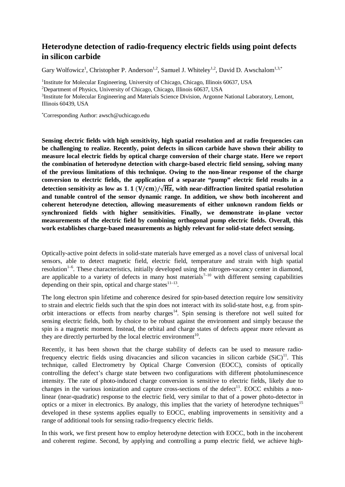## **Heterodyne detection of radio-frequency electric fields using point defects in silicon carbide**

Gary Wolfowicz<sup>1</sup>, Christopher P. Anderson<sup>1,2</sup>, Samuel J. Whiteley<sup>1,2</sup>, David D. Awschalom<sup>1,3,\*</sup>

<sup>1</sup>Institute for Molecular Engineering, University of Chicago, Chicago, Illinois 60637, USA 2 Department of Physics, University of Chicago, Chicago, Illinois 60637, USA <sup>3</sup>Institute for Molecular Engineering and Materials Science Division, Argonne National Laboratory, Lemont, Illinois 60439, USA

\* Corresponding Author: awsch@uchicago.edu

**Sensing electric fields with high sensitivity, high spatial resolution and at radio frequencies can be challenging to realize. Recently, point defects in silicon carbide have shown their ability to measure local electric fields by optical charge conversion of their charge state. Here we report the combination of heterodyne detection with charge-based electric field sensing, solving many of the previous limitations of this technique. Owing to the non-linear response of the charge conversion to electric fields, the application of a separate "pump" electric field results in a**  detection sensitivity as low as  $1.1 (V/cm)/\sqrt{Hz}$ , with near-diffraction limited spatial resolution **and tunable control of the sensor dynamic range. In addition, we show both incoherent and coherent heterodyne detection, allowing measurements of either unknown random fields or synchronized fields with higher sensitivities. Finally, we demonstrate in-plane vector measurements of the electric field by combining orthogonal pump electric fields. Overall, this work establishes charge-based measurements as highly relevant for solid-state defect sensing.**

Optically-active point defects in solid-state materials have emerged as a novel class of universal local sensors, able to detect magnetic field, electric field, temperature and strain with high spatial resolution<sup>1-6</sup>. These characteristics, initially developed using the nitrogen-vacancy center in diamond, are applicable to a variety of defects in many host materials<sup> $7-10$ </sup> with different sensing capabilities depending on their spin, optical and charge states $11-13$ .

The long electron spin lifetime and coherence desired for spin-based detection require low sensitivity to strain and electric fields such that the spin does not interact with its solid-state host, e.g. from spinorbit interactions or effects from nearby charges<sup>14</sup>. Spin sensing is therefore not well suited for sensing electric fields, both by choice to be robust against the environment and simply because the spin is a magnetic moment. Instead, the orbital and charge states of defects appear more relevant as they are directly perturbed by the local electric environment<sup>10</sup>.

Recently, it has been shown that the charge stability of defects can be used to measure radiofrequency electric fields using divacancies and silicon vacancies in silicon carbide  $(SiC)^{11}$ . This technique, called Electrometry by Optical Charge Conversion (EOCC), consists of optically controlling the defect's charge state between two configurations with different photoluminescence intensity. The rate of photo-induced charge conversion is sensitive to electric fields, likely due to changes in the various ionization and capture cross-sections of the defect<sup>11</sup>. EOCC exhibits a nonlinear (near-quadratic) response to the electric field, very similar to that of a power photo-detector in optics or a mixer in electronics. By analogy, this implies that the variety of heterodyne techniques<sup>15</sup> developed in these systems applies equally to EOCC, enabling improvements in sensitivity and a range of additional tools for sensing radio-frequency electric fields.

In this work, we first present how to employ heterodyne detection with EOCC, both in the incoherent and coherent regime. Second, by applying and controlling a pump electric field, we achieve high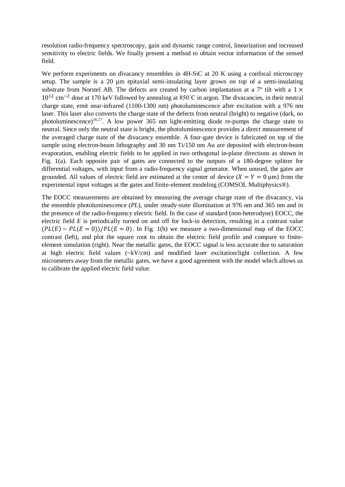resolution radio-frequency spectroscopy, gain and dynamic range control, linearization and increased sensitivity to electric fields. We finally present a method to obtain vector information of the sensed field.

We perform experiments on divacancy ensembles in 4H-SiC at 20 K using a confocal microscopy setup. The sample is a 20  $\mu$ m epitaxial semi-insulating layer grown on top of a semi-insulating substrate from Norstel AB. The defects are created by carbon implantation at a  $7^{\circ}$  tilt with a  $1 \times$ 10<sup>12</sup> cm−2 dose at 170 keV followed by annealing at 850˚C in argon. The divacancies, in their neutral charge state, emit near-infrared (1100-1300 nm) photoluminescence after excitation with a 976 nm laser. This laser also converts the charge state of the defects from neutral (bright) to negative (dark, no photoluminescence)<sup>16,17</sup>. A low power 365 nm light-emitting diode re-pumps the charge state to neutral. Since only the neutral state is bright, the photoluminescence provides a direct measurement of the averaged charge state of the divacancy ensemble. A four-gate device is fabricated on top of the sample using electron-beam lithography and 30 nm Ti/150 nm Au are deposited with electron-beam evaporation, enabling electric fields to be applied in two orthogonal in-plane directions as shown in Fig. 1(a). Each opposite pair of gates are connected to the outputs of a 180-degree splitter for differential voltages, with input from a radio-frequency signal generator. When unused, the gates are grounded. All values of electric field are estimated at the center of device  $(X = Y = 0 \text{ µm})$  from the experimental input voltages at the gates and finite-element modeling (COMSOL Multiphysics®).

The EOCC measurements are obtained by measuring the average charge state of the divacancy, via the ensemble photoluminescence (*PL*), under steady-state illumination at 976 nm and 365 nm and in the presence of the radio-frequency electric field. In the case of standard (non-heterodyne) EOCC, the electric field *E* is periodically turned on and off for lock-in detection, resulting in a contrast value  $(PL(E) - PL(E = 0))/PL(E = 0)$ . In Fig. 1(b) we measure a two-dimensional map of the EOCC contrast (left), and plot the square root to obtain the electric field profile and compare to finiteelement simulation (right). Near the metallic gates, the EOCC signal is less accurate due to saturation at high electric field values (~kV/cm) and modified laser excitation/light collection. A few micrometers away from the metallic gates, we have a good agreement with the model which allows us to calibrate the applied electric field value.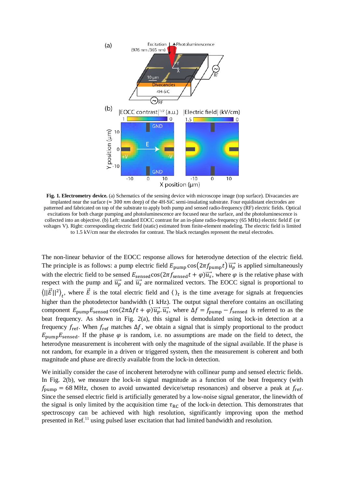

**Fig. 1. Electrometry device.** (a) Schematics of the sensing device with microscope image (top surface). Divacancies are implanted near the surface ( $\approx 300 \text{ nm}$  deep) of the 4H-SiC semi-insulating substrate. Four equidistant electrodes are patterned and fabricated on top of the substrate to apply both pump and sensed radio-frequency (RF) electric fields. Optical excitations for both charge pumping and photoluminescence are focused near the surface, and the photoluminescence is collected into an objective. (b) Left: standard EOCC contrast for an in-plane radio-frequency (65 MHz) electric field  $E$  (or voltages V). Right: corresponding electric field (static) estimated from finite-element modeling. The electric field is limited to 1.5 kV/cm near the electrodes for contrast. The black rectangles represent the metal electrodes.

The non-linear behavior of the EOCC response allows for heterodyne detection of the electric field. The principle is as follows: a pump electric field  $E_{\text{pump}} \cos(2\pi f_{\text{pump}} t) \vec{u_p}$  is applied simultaneously with the electric field to be sensed  $E_{\text{sensed}} \cos(2\pi f_{\text{sensed}} t + \varphi) \overrightarrow{u_s}$ , where  $\varphi$  is the relative phase with respect with the pump and  $\overrightarrow{u_p}$  and  $\overrightarrow{u_s}$  are normalized vectors. The EOCC signal is proportional to  $\langle ||E||^2 \rangle_t$ , where E is the total electric field and  $\langle \rangle_t$  is the time average for signals at frequencies higher than the photodetector bandwidth (1 kHz). The output signal therefore contains an oscillating component  $E_{\text{pump}}E_{\text{sense}}$  cos( $2\pi\Delta ft + \varphi \overrightarrow{u_p} \cdot \overrightarrow{u_s}$ , where  $\Delta f = f_{\text{pump}} - f_{\text{sense}}$  is referred to as the beat frequency. As shown in Fig. 2(a), this signal is demodulated using lock-in detection at a frequency  $f_{ref}$ . When  $f_{ref}$  matches  $\Delta f$ , we obtain a signal that is simply proportional to the product  $E_{\text{pump}}E_{\text{sensed}}$ . If the phase  $\varphi$  is random, i.e. no assumptions are made on the field to detect, the heterodyne measurement is incoherent with only the magnitude of the signal available. If the phase is not random, for example in a driven or triggered system, then the measurement is coherent and both magnitude and phase are directly available from the lock-in detection.

We initially consider the case of incoherent heterodyne with collinear pump and sensed electric fields. In Fig. 2(b), we measure the lock-in signal magnitude as a function of the beat frequency (with  $f_{\text{pump}} = 68 \text{ MHz}$ , chosen to avoid unwanted device/setup resonances) and observe a peak at  $f_{\text{ref}}$ . Since the sensed electric field is artificially generated by a low-noise signal generator, the linewidth of the signal is only limited by the acquisition time  $\tau_{RC}$  of the lock-in detection. This demonstrates that spectroscopy can be achieved with high resolution, significantly improving upon the method presented in Ref.<sup>11</sup> using pulsed laser excitation that had limited bandwidth and resolution.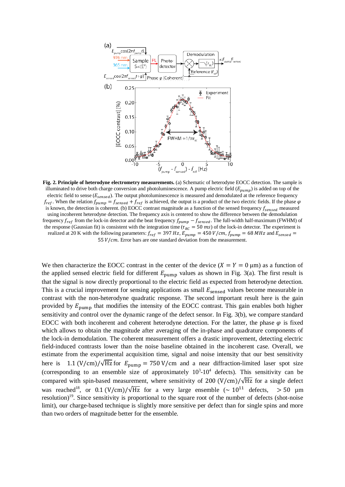

**Fig. 2. Principle of heterodyne electrometry measurements.** (a) Schematic of heterodyne EOCC detection. The sample is illuminated to drive both charge conversion and photoluminescence. A pump electric field ( $E_{pump}$ ) is added on top of the electric field to sense ( $E_{sensed}$ ). The output photoluminescence is measured and demodulated at the reference frequency  $f_{ref}$ . When the relation  $f_{pump} = f_{sensed} + f_{ref}$  is achieved, the output is a product of the two electric fields. If the phase  $\varphi$ is known, the detection is coherent. (b) EOCC contrast magnitude as a function of the sensed frequency  $f_{sensed}$  measured using incoherent heterodyne detection. The frequency axis is centered to show the difference between the demodulation frequency  $f_{ref}$  from the lock-in detector and the beat frequency  $f_{pump} - f_{sensed}$ . The full-width half-maximum (FWHM) of the response (Gaussian fit) is consistent with the integration time ( $\tau_{RC} = 50$  ms) of the lock-in detector. The experiment is realized at 20 K with the following parameters:  $f_{ref} = 397 Hz$ ,  $E_{pump} = 450 V/cm$ ,  $f_{pump} = 68 MHz$  and  $E_{sensed} =$ 55  $V/cm$ . Error bars are one standard deviation from the measurement.

We then characterize the EOCC contrast in the center of the device  $(X = Y = 0 \mu m)$  as a function of the applied sensed electric field for different  $E_{\text{pump}}$  values as shown in Fig. 3(a). The first result is that the signal is now directly proportional to the electric field as expected from heterodyne detection. This is a crucial improvement for sensing applications as small  $E_{\text{sensed}}$  values become measurable in contrast with the non-heterodyne quadratic response. The second important result here is the gain provided by  $E_{\text{pump}}$  that modifies the intensity of the EOCC contrast. This gain enables both higher sensitivity and control over the dynamic range of the defect sensor. In Fig. 3(b), we compare standard EOCC with both incoherent and coherent heterodyne detection. For the latter, the phase  $\varphi$  is fixed which allows to obtain the magnitude after averaging of the in-phase and quadrature components of the lock-in demodulation. The coherent measurement offers a drastic improvement, detecting electric field-induced contrasts lower than the noise baseline obtained in the incoherent case. Overall, we estimate from the experimental acquisition time, signal and noise intensity that our best sensitivity here is 1.1 (V/cm)/ $\sqrt{Hz}$  for  $E_{\text{pump}} = 750$  V/cm and a near diffraction-limited laser spot size (corresponding to an ensemble size of approximately  $10^3$ - $10^4$  defects). This sensitivity can be compared with spin-based measurement, where sensitivity of 200 (V/cm)/ $\sqrt{Hz}$  for a single defect was reached<sup>18</sup>, or 0.1 (V/cm)/ $\sqrt{Hz}$  for a very large ensemble (~ 10<sup>11</sup> defects, > 50 µm resolution)<sup>19</sup>. Since sensitivity is proportional to the square root of the number of defects (shot-noise limit), our charge-based technique is slightly more sensitive per defect than for single spins and more than two orders of magnitude better for the ensemble.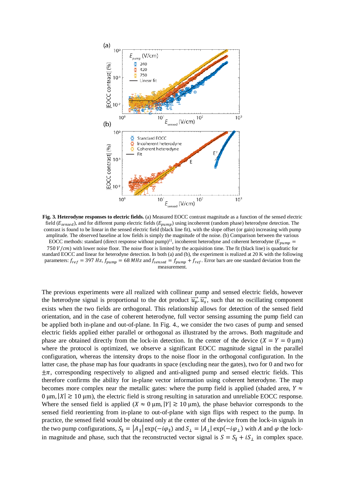

**Fig. 3. Heterodyne responses to electric fields.** (a) Measured EOCC contrast magnitude as a function of the sensed electric field ( $E_{sensed}$ ), and for different pump electric fields ( $E_{pump}$ ) using incoherent (random phase) heterodyne detection. The contrast is found to be linear in the sensed electric field (black line fit), with the slope offset (or gain) increasing with pump amplitude. The observed baseline at low fields is simply the magnitude of the noise. (b) Comparison between the various EOCC methods: standard (direct response without pump)<sup>11</sup>, incoherent heterodyne and coherent heterodyne ( $E_{pump}$ ) 750  $V/cm$ ) with lower noise floor. The noise floor is limited by the acquisition time. The fit (black line) is quadratic for standard EOCC and linear for heterodyne detection. In both (a) and (b), the experiment is realized at 20 K with the following parameters:  $f_{ref} = 397 Hz$ ,  $f_{pump} = 68 MHz$  and  $f_{sensed} = f_{pump} + f_{ref}$ . Error bars are one standard deviation from the measurement.

The previous experiments were all realized with collinear pump and sensed electric fields, however the heterodyne signal is proportional to the dot product  $\overrightarrow{u_p} \cdot \overrightarrow{u_s}$ , such that no oscillating component exists when the two fields are orthogonal. This relationship allows for detection of the sensed field orientation, and in the case of coherent heterodyne, full vector sensing assuming the pump field can be applied both in-plane and out-of-plane. In Fig. 4., we consider the two cases of pump and sensed electric fields applied either parallel or orthogonal as illustrated by the arrows. Both magnitude and phase are obtained directly from the lock-in detection. In the center of the device  $(X = Y = 0 \text{ }\mu\text{m})$ where the protocol is optimized, we observe a significant EOCC magnitude signal in the parallel configuration, whereas the intensity drops to the noise floor in the orthogonal configuration. In the latter case, the phase map has four quadrants in space (excluding near the gates), two for 0 and two for  $\pm \pi$ , corresponding respectively to aligned and anti-aligned pump and sensed electric fields. This therefore confirms the ability for in-plane vector information using coherent heterodyne. The map becomes more complex near the metallic gates: where the pump field is applied (shaded area,  $Y \approx$  $0 \text{ µm}$ ,  $|X| \ge 10 \text{ µm}$ , the electric field is strong resulting in saturation and unreliable EOCC response. Where the sensed field is applied ( $X \approx 0 \,\mu\text{m}$ ,  $|Y| \gtrsim 10 \,\mu\text{m}$ ), the phase behavior corresponds to the sensed field reorienting from in-plane to out-of-plane with sign flips with respect to the pump. In practice, the sensed field would be obtained only at the center of the device from the lock-in signals in the two pump configurations,  $S_{\parallel} = |A_{\parallel}| \exp(-i\varphi_{\parallel})$  and  $S_{\perp} = |A_{\perp}| \exp(-i\varphi_{\perp})$  with A and  $\varphi$  the lockin magnitude and phase, such that the reconstructed vector signal is  $S = S_{\parallel} + iS_{\perp}$  in complex space.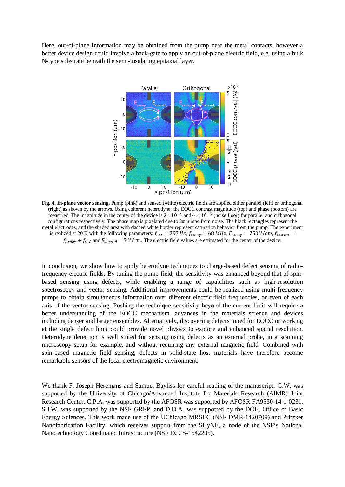Here, out-of-plane information may be obtained from the pump near the metal contacts, however a better device design could involve a back-gate to apply an out-of-plane electric field, e.g. using a bulk N-type substrate beneath the semi-insulating epitaxial layer.



**Fig. 4. In-plane vector sensing.** Pump (pink) and sensed (white) electric fields are applied either parallel (left) or orthogonal (right) as shown by the arrows. Using coherent heterodyne, the EOCC contrast magnitude (top) and phase (bottom) are measured. The magnitude in the center of the device is  $2\times 10^{-4}$  and  $4\times 10^{-5}$  (noise floor) for parallel and orthogonal configurations respectively. The phase map is pixelated due to  $2\pi$  jumps from noise. The black rectangles represent the metal electrodes, and the shaded area with dashed white border represent saturation behavior from the pump. The experiment is realized at 20 K with the following parameters:  $f_{ref} = 397 Hz$ ,  $f_{pump} = 68 MHz$ ,  $E_{pump} = 750 V/cm$ ,  $f_{sensed} =$  $f_{probe} + f_{ref}$  and  $E_{sensed} = 7 V/cm$ . The electric field values are estimated for the center of the device.

In conclusion, we show how to apply heterodyne techniques to charge-based defect sensing of radiofrequency electric fields. By tuning the pump field, the sensitivity was enhanced beyond that of spinbased sensing using defects, while enabling a range of capabilities such as high-resolution spectroscopy and vector sensing. Additional improvements could be realized using multi-frequency pumps to obtain simultaneous information over different electric field frequencies, or even of each axis of the vector sensing. Pushing the technique sensitivity beyond the current limit will require a better understanding of the EOCC mechanism, advances in the materials science and devices including denser and larger ensembles. Alternatively, discovering defects tuned for EOCC or working at the single defect limit could provide novel physics to explore and enhanced spatial resolution. Heterodyne detection is well suited for sensing using defects as an external probe, in a scanning microscopy setup for example, and without requiring any external magnetic field. Combined with spin-based magnetic field sensing, defects in solid-state host materials have therefore become remarkable sensors of the local electromagnetic environment.

We thank F. Joseph Heremans and Samuel Bayliss for careful reading of the manuscript. G.W. was supported by the University of Chicago/Advanced Institute for Materials Research (AIMR) Joint Research Center, C.P.A. was supported by the AFOSR was supported by AFOSR FA9550-14-1-0231, S.J.W. was supported by the NSF GRFP, and D.D.A. was supported by the DOE, Office of Basic Energy Sciences. This work made use of the UChicago MRSEC (NSF DMR-1420709) and Pritzker Nanofabrication Facility, which receives support from the SHyNE, a node of the NSF's National Nanotechnology Coordinated Infrastructure (NSF ECCS-1542205).